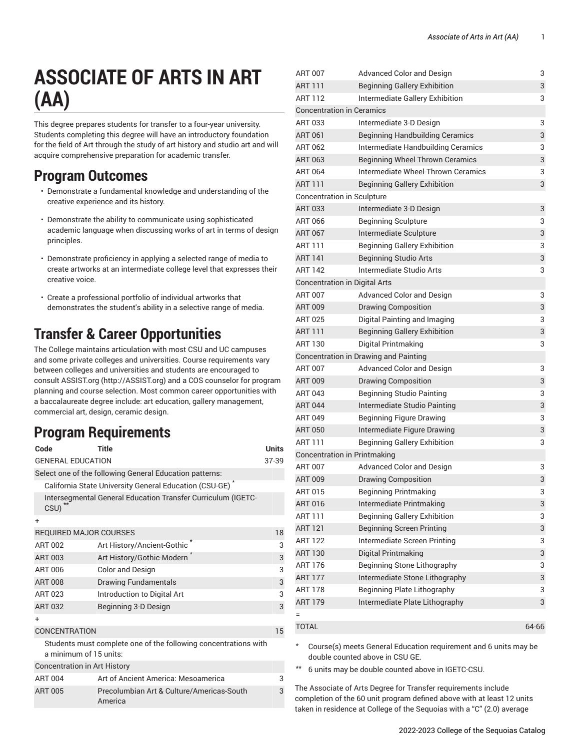# **ASSOCIATE OF ARTS IN ART (AA)**

This degree prepares students for transfer to a four-year university. Students completing this degree will have an introductory foundation for the field of Art through the study of art history and studio art and will acquire comprehensive preparation for academic transfer.

### **Program Outcomes**

- Demonstrate a fundamental knowledge and understanding of the creative experience and its history.
- Demonstrate the ability to communicate using sophisticated academic language when discussing works of art in terms of design principles.
- Demonstrate proficiency in applying a selected range of media to create artworks at an intermediate college level that expresses their creative voice.
- Create a professional portfolio of individual artworks that demonstrates the student's ability in a selective range of media.

# **Transfer & Career Opportunities**

The College maintains articulation with most CSU and UC campuses and some private colleges and universities. Course requirements vary between colleges and universities and students are encouraged to consult [ASSIST.org \(http://ASSIST.org\)](http://ASSIST.org) and a COS counselor for program planning and course selection. Most common career opportunities with a baccalaureate degree include: art education, gallery management, commercial art, design, ceramic design.

## **Program Requirements**

America

| Code                                | <b>Title</b>                                                        | <b>Units</b> |
|-------------------------------------|---------------------------------------------------------------------|--------------|
| <b>GENERAL EDUCATION</b><br>37-39   |                                                                     |              |
|                                     | Select one of the following General Education patterns:             |              |
|                                     | California State University General Education (CSU-GE) <sup>*</sup> |              |
| CSU)                                | Intersegmental General Education Transfer Curriculum (IGETC-        |              |
| $\ddot{}$                           |                                                                     |              |
| <b>REQUIRED MAJOR COURSES</b>       |                                                                     | 18           |
| <b>ART 002</b>                      | Art History/Ancient-Gothic                                          | 3            |
| <b>ART 003</b>                      | Art History/Gothic-Modern                                           | 3            |
| ART 006                             | <b>Color and Design</b>                                             | 3            |
| <b>ART 008</b>                      | <b>Drawing Fundamentals</b>                                         | 3            |
| ART 023                             | Introduction to Digital Art                                         | 3            |
| <b>ART 032</b>                      | Beginning 3-D Design                                                | 3            |
| $\ddot{}$                           |                                                                     |              |
| <b>CONCENTRATION</b>                |                                                                     |              |
| a minimum of 15 units:              | Students must complete one of the following concentrations with     |              |
| <b>Concentration in Art History</b> |                                                                     |              |
| <b>ART 004</b>                      | Art of Ancient America: Mesoamerica                                 | 3            |
| <b>ART 005</b>                      | Precolumbian Art & Culture/Americas-South                           | 3            |

| <b>ART 007</b>                   | <b>Advanced Color and Design</b>       | 3     |
|----------------------------------|----------------------------------------|-------|
| <b>ART 111</b>                   | <b>Beginning Gallery Exhibition</b>    | 3     |
| <b>ART 112</b>                   | Intermediate Gallery Exhibition        | 3     |
| <b>Concentration in Ceramics</b> |                                        |       |
| ART 033                          | Intermediate 3-D Design                | 3     |
| <b>ART 061</b>                   | <b>Beginning Handbuilding Ceramics</b> | 3     |
| ART 062                          | Intermediate Handbuilding Ceramics     | 3     |
| <b>ART 063</b>                   | <b>Beginning Wheel Thrown Ceramics</b> | 3     |
| <b>ART 064</b>                   | Intermediate Wheel-Thrown Ceramics     | 3     |
| <b>ART 111</b>                   | <b>Beginning Gallery Exhibition</b>    | 3     |
| Concentration in Sculpture       |                                        |       |
| <b>ART 033</b>                   | Intermediate 3-D Design                | 3     |
| ART 066                          | <b>Beginning Sculpture</b>             | 3     |
| <b>ART 067</b>                   | Intermediate Sculpture                 | 3     |
| <b>ART 111</b>                   | <b>Beginning Gallery Exhibition</b>    | 3     |
| <b>ART 141</b>                   | <b>Beginning Studio Arts</b>           | 3     |
| <b>ART 142</b>                   | Intermediate Studio Arts               | 3     |
|                                  | <b>Concentration in Digital Arts</b>   |       |
| <b>ART 007</b>                   | <b>Advanced Color and Design</b>       | 3     |
| <b>ART 009</b>                   | <b>Drawing Composition</b>             | 3     |
| <b>ART 025</b>                   | Digital Painting and Imaging           | 3     |
| <b>ART 111</b>                   | <b>Beginning Gallery Exhibition</b>    | 3     |
| ART 130                          | Digital Printmaking                    | 3     |
|                                  | Concentration in Drawing and Painting  |       |
| <b>ART 007</b>                   | <b>Advanced Color and Design</b>       | 3     |
| <b>ART 009</b>                   | <b>Drawing Composition</b>             | 3     |
| ART 043                          | <b>Beginning Studio Painting</b>       | 3     |
| <b>ART 044</b>                   | Intermediate Studio Painting           | 3     |
| ART 049                          | <b>Beginning Figure Drawing</b>        | 3     |
| <b>ART 050</b>                   | Intermediate Figure Drawing            | 3     |
| ART 111                          | <b>Beginning Gallery Exhibition</b>    | 3     |
|                                  | <b>Concentration in Printmaking</b>    |       |
| <b>ART 007</b>                   | <b>Advanced Color and Design</b>       | 3     |
| <b>ART 009</b>                   | <b>Drawing Composition</b>             | 3     |
| ART 015                          | <b>Beginning Printmaking</b>           | 3     |
| ART 016                          | Intermediate Printmaking               | 3     |
| ART 111                          | <b>Beginning Gallery Exhibition</b>    | 3     |
| <b>ART 121</b>                   | <b>Beginning Screen Printing</b>       | 3     |
| <b>ART 122</b>                   | Intermediate Screen Printing           | 3     |
| <b>ART 130</b>                   | Digital Printmaking                    | 3     |
| ART 176                          | <b>Beginning Stone Lithography</b>     | 3     |
| <b>ART 177</b>                   | Intermediate Stone Lithography         | 3     |
| ART 178                          | <b>Beginning Plate Lithography</b>     | 3     |
| <b>ART 179</b>                   | Intermediate Plate Lithography         | 3     |
| $=$                              |                                        |       |
| <b>TOTAL</b>                     |                                        | 64-66 |
|                                  |                                        |       |

Course(s) meets General Education requirement and 6 units may be double counted above in CSU GE.

\*\* 6 units may be double counted above in IGETC-CSU.

The Associate of Arts Degree for Transfer requirements include completion of the 60 unit program defined above with at least 12 units taken in residence at College of the Sequoias with a "C" (2.0) average